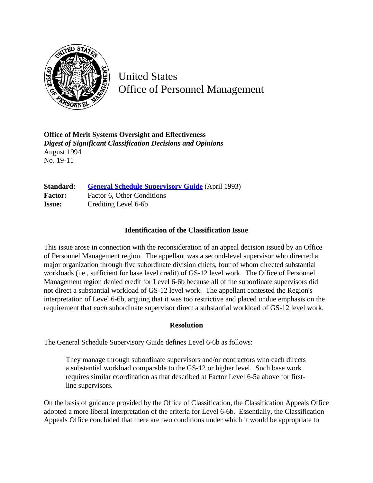

United States Office of Personnel Management

**Office of Merit Systems Oversight and Effectiveness** *Digest of Significant Classification Decisions and Opinions* August 1994 No. 19-11

**Standard:** [General Schedule Supervisory Guide](http://www.opm.gov/hr/fedclass/gssg.pdf) (April 1993) Factor: Factor 6, Other Conditions **Issue:** Crediting Level 6-6b

## **Identification of the Classification Issue**

This issue arose in connection with the reconsideration of an appeal decision issued by an Office of Personnel Management region. The appellant was a second-level supervisor who directed a major organization through five subordinate division chiefs, four of whom directed substantial workloads (i.e., sufficient for base level credit) of GS-12 level work. The Office of Personnel Management region denied credit for Level 6-6b because all of the subordinate supervisors did not direct a substantial workload of GS-12 level work. The appellant contested the Region's interpretation of Level 6-6b, arguing that it was too restrictive and placed undue emphasis on the requirement that *each* subordinate supervisor direct a substantial workload of GS-12 level work.

## **Resolution**

The General Schedule Supervisory Guide defines Level 6-6b as follows:

They manage through subordinate supervisors and/or contractors who each directs a substantial workload comparable to the GS-12 or higher level. Such base work requires similar coordination as that described at Factor Level 6-5a above for firstline supervisors.

On the basis of guidance provided by the Office of Classification, the Classification Appeals Office adopted a more liberal interpretation of the criteria for Level 6-6b. Essentially, the Classification Appeals Office concluded that there are two conditions under which it would be appropriate to